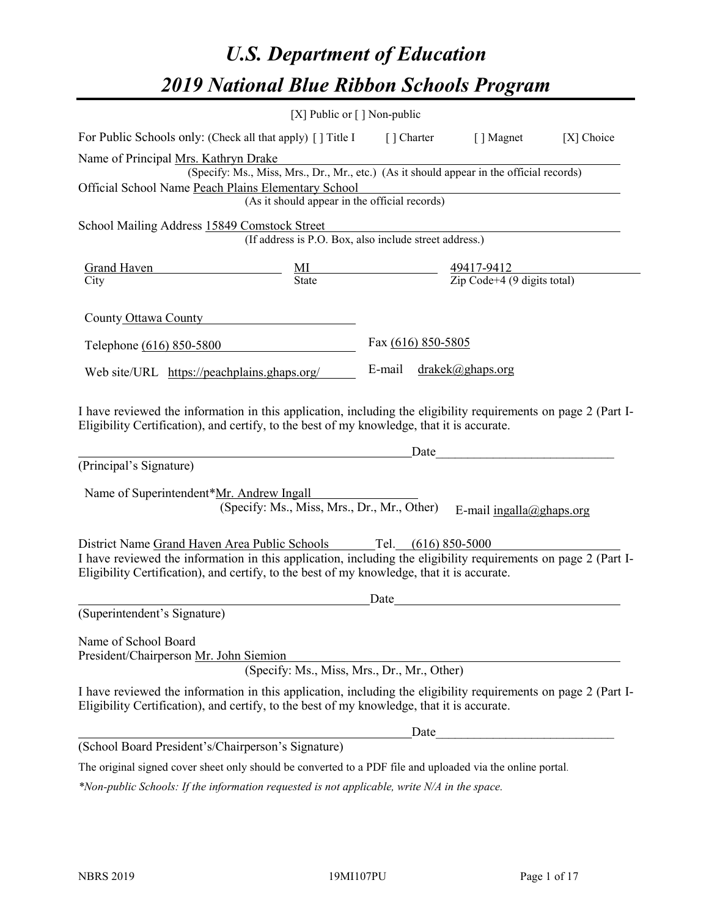# *U.S. Department of Education 2019 National Blue Ribbon Schools Program*

|                                                                                                                                                                                                                                                                                     | [X] Public or $\lceil$ ] Non-public                                                                                                       |                                   |                                                                                                                                                                                                                                      |            |
|-------------------------------------------------------------------------------------------------------------------------------------------------------------------------------------------------------------------------------------------------------------------------------------|-------------------------------------------------------------------------------------------------------------------------------------------|-----------------------------------|--------------------------------------------------------------------------------------------------------------------------------------------------------------------------------------------------------------------------------------|------------|
| For Public Schools only: (Check all that apply) [ ] Title I [ ] Charter [ ] Magnet                                                                                                                                                                                                  |                                                                                                                                           |                                   |                                                                                                                                                                                                                                      | [X] Choice |
| Name of Principal Mrs. Kathryn Drake<br>Official School Name Peach Plains Elementary School                                                                                                                                                                                         | (Specify: Ms., Miss, Mrs., Dr., Mr., etc.) (As it should appear in the official records)<br>(As it should appear in the official records) |                                   |                                                                                                                                                                                                                                      |            |
| School Mailing Address 15849 Comstock Street                                                                                                                                                                                                                                        | (If address is P.O. Box, also include street address.)                                                                                    |                                   |                                                                                                                                                                                                                                      |            |
| City                                                                                                                                                                                                                                                                                |                                                                                                                                           |                                   |                                                                                                                                                                                                                                      |            |
| County Ottawa County                                                                                                                                                                                                                                                                |                                                                                                                                           |                                   |                                                                                                                                                                                                                                      |            |
| Telephone (616) 850-5800                                                                                                                                                                                                                                                            |                                                                                                                                           | Fax (616) 850-5805                |                                                                                                                                                                                                                                      |            |
| Web site/URL https://peachplains.ghaps.org/                                                                                                                                                                                                                                         |                                                                                                                                           | E-mail $drakek(\omega)$ ghaps.org |                                                                                                                                                                                                                                      |            |
| I have reviewed the information in this application, including the eligibility requirements on page 2 (Part I-<br>Eligibility Certification), and certify, to the best of my knowledge, that it is accurate.<br>(Principal's Signature)<br>Name of Superintendent*Mr. Andrew Ingall | (Specify: Ms., Miss, Mrs., Dr., Mr., Other)                                                                                               | Date                              | <u> 1980 - John Stein, mars and de Brande</u><br>E-mail ingalla@ghaps.org                                                                                                                                                            |            |
| District Name Grand Haven Area Public Schools Tel. (616) 850-5000<br>I have reviewed the information in this application, including the eligibility requirements on page 2 (Part I-<br>Eligibility Certification), and certify, to the best of my knowledge, that it is accurate.   |                                                                                                                                           | Date                              |                                                                                                                                                                                                                                      |            |
| (Superintendent's Signature)                                                                                                                                                                                                                                                        |                                                                                                                                           |                                   | <u>and the state of the state of the state of the state of the state of the state of the state of the state of the state of the state of the state of the state of the state of the state of the state of the state of the state</u> |            |
| Name of School Board<br>President/Chairperson Mr. John Siemion                                                                                                                                                                                                                      | (Specify: Ms., Miss, Mrs., Dr., Mr., Other)                                                                                               |                                   |                                                                                                                                                                                                                                      |            |
| I have reviewed the information in this application, including the eligibility requirements on page 2 (Part I-<br>Eligibility Certification), and certify, to the best of my knowledge, that it is accurate.                                                                        |                                                                                                                                           |                                   |                                                                                                                                                                                                                                      |            |
|                                                                                                                                                                                                                                                                                     |                                                                                                                                           | Date                              |                                                                                                                                                                                                                                      |            |
| (School Board President's/Chairperson's Signature)                                                                                                                                                                                                                                  |                                                                                                                                           |                                   |                                                                                                                                                                                                                                      |            |
| The original signed cover sheet only should be converted to a PDF file and uploaded via the online portal.                                                                                                                                                                          |                                                                                                                                           |                                   |                                                                                                                                                                                                                                      |            |

*\*Non-public Schools: If the information requested is not applicable, write N/A in the space.*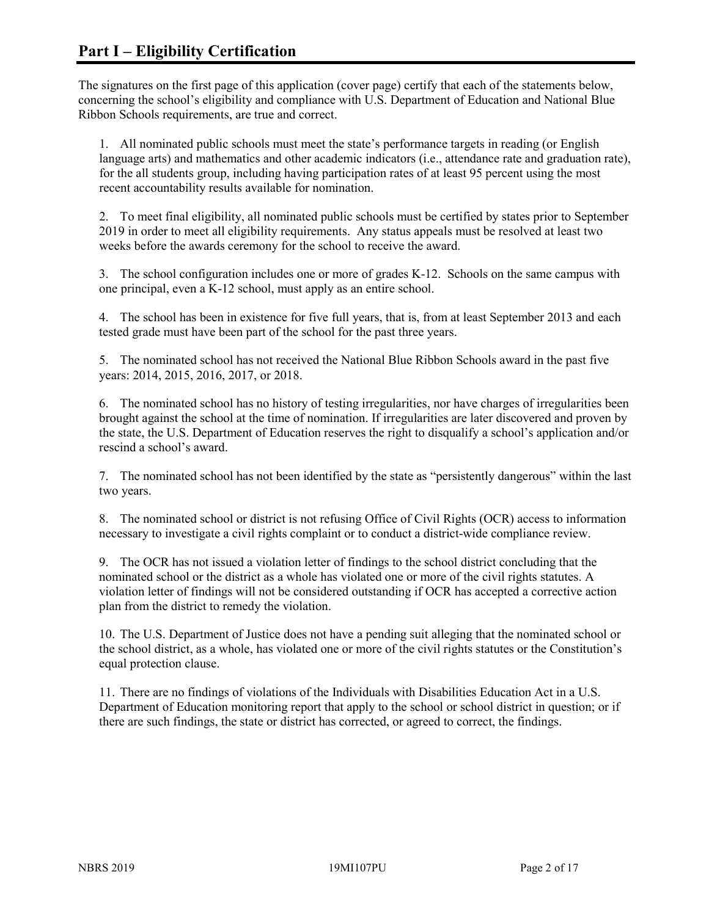The signatures on the first page of this application (cover page) certify that each of the statements below, concerning the school's eligibility and compliance with U.S. Department of Education and National Blue Ribbon Schools requirements, are true and correct.

1. All nominated public schools must meet the state's performance targets in reading (or English language arts) and mathematics and other academic indicators (i.e., attendance rate and graduation rate), for the all students group, including having participation rates of at least 95 percent using the most recent accountability results available for nomination.

2. To meet final eligibility, all nominated public schools must be certified by states prior to September 2019 in order to meet all eligibility requirements. Any status appeals must be resolved at least two weeks before the awards ceremony for the school to receive the award.

3. The school configuration includes one or more of grades K-12. Schools on the same campus with one principal, even a K-12 school, must apply as an entire school.

4. The school has been in existence for five full years, that is, from at least September 2013 and each tested grade must have been part of the school for the past three years.

5. The nominated school has not received the National Blue Ribbon Schools award in the past five years: 2014, 2015, 2016, 2017, or 2018.

6. The nominated school has no history of testing irregularities, nor have charges of irregularities been brought against the school at the time of nomination. If irregularities are later discovered and proven by the state, the U.S. Department of Education reserves the right to disqualify a school's application and/or rescind a school's award.

7. The nominated school has not been identified by the state as "persistently dangerous" within the last two years.

8. The nominated school or district is not refusing Office of Civil Rights (OCR) access to information necessary to investigate a civil rights complaint or to conduct a district-wide compliance review.

9. The OCR has not issued a violation letter of findings to the school district concluding that the nominated school or the district as a whole has violated one or more of the civil rights statutes. A violation letter of findings will not be considered outstanding if OCR has accepted a corrective action plan from the district to remedy the violation.

10. The U.S. Department of Justice does not have a pending suit alleging that the nominated school or the school district, as a whole, has violated one or more of the civil rights statutes or the Constitution's equal protection clause.

11. There are no findings of violations of the Individuals with Disabilities Education Act in a U.S. Department of Education monitoring report that apply to the school or school district in question; or if there are such findings, the state or district has corrected, or agreed to correct, the findings.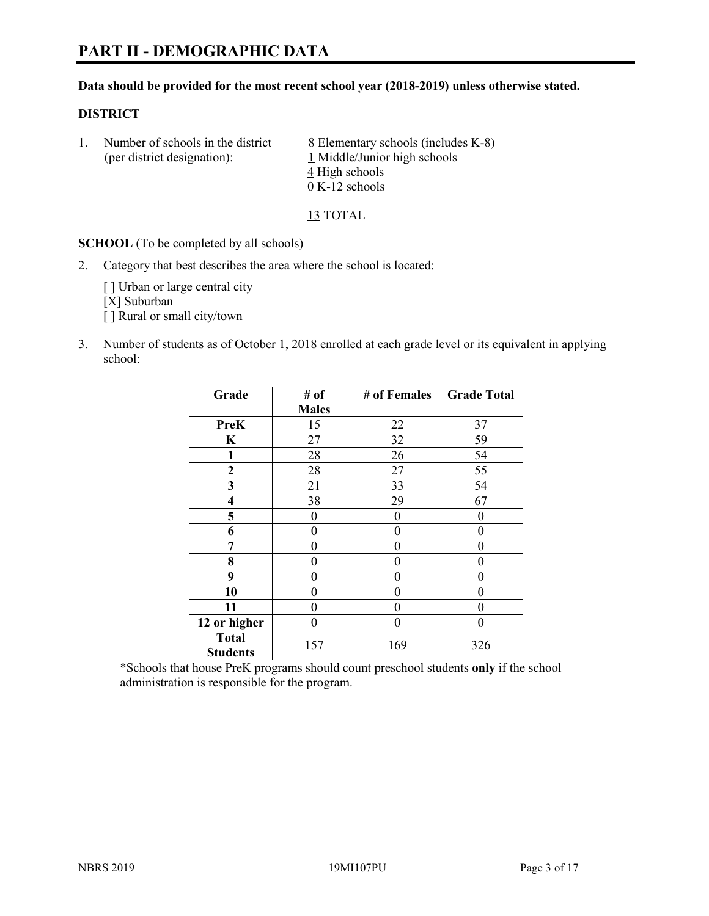#### **Data should be provided for the most recent school year (2018-2019) unless otherwise stated.**

#### **DISTRICT**

1. Number of schools in the district  $8$  Elementary schools (includes K-8) (per district designation): 1 Middle/Junior high schools 4 High schools 0 K-12 schools

13 TOTAL

**SCHOOL** (To be completed by all schools)

2. Category that best describes the area where the school is located:

[ ] Urban or large central city [X] Suburban [] Rural or small city/town

3. Number of students as of October 1, 2018 enrolled at each grade level or its equivalent in applying school:

| Grade                   | # of         | # of Females | <b>Grade Total</b> |
|-------------------------|--------------|--------------|--------------------|
|                         | <b>Males</b> |              |                    |
| <b>PreK</b>             | 15           | 22           | 37                 |
| $\mathbf K$             | 27           | 32           | 59                 |
| 1                       | 28           | 26           | 54                 |
| 2                       | 28           | 27           | 55                 |
| 3                       | 21           | 33           | 54                 |
| $\overline{\mathbf{4}}$ | 38           | 29           | 67                 |
| 5                       | 0            | 0            | 0                  |
| 6                       | 0            | $\theta$     | 0                  |
| 7                       | 0            | 0            | 0                  |
| 8                       | 0            | 0            | 0                  |
| 9                       | 0            | 0            | 0                  |
| 10                      | 0            | 0            | 0                  |
| 11                      | $\theta$     | 0            | 0                  |
| 12 or higher            | 0            | 0            | 0                  |
| <b>Total</b>            | 157          | 169          | 326                |
| <b>Students</b>         |              |              |                    |

\*Schools that house PreK programs should count preschool students **only** if the school administration is responsible for the program.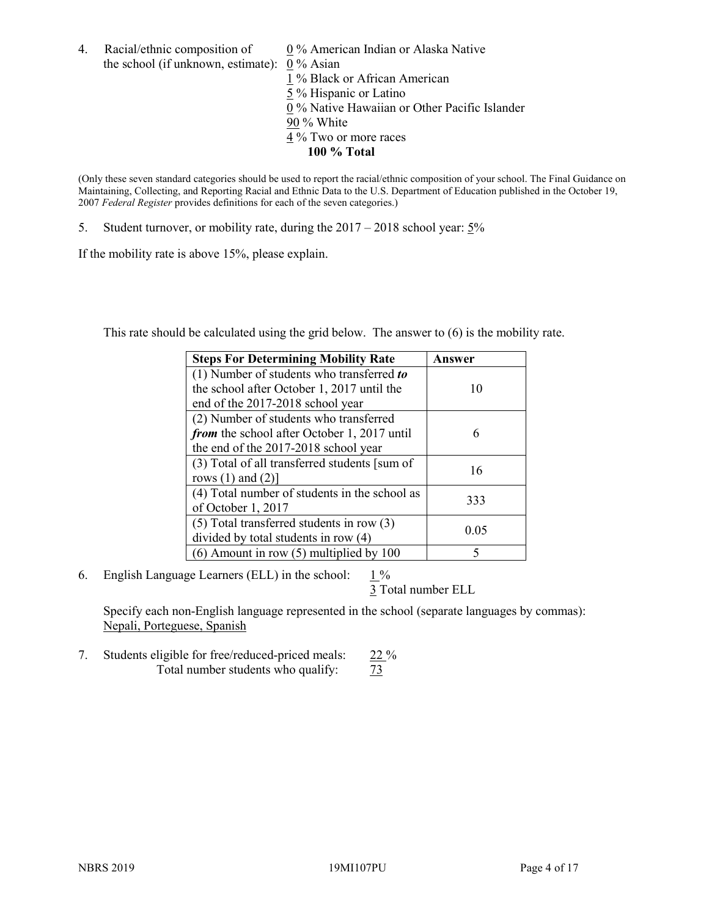4. Racial/ethnic composition of  $0\%$  American Indian or Alaska Native the school (if unknown, estimate): 0 % Asian

1 % Black or African American  $\frac{5}{5}$ % Hispanic or Latino 0 % Native Hawaiian or Other Pacific Islander 90 % White 4 % Two or more races **100 % Total**

(Only these seven standard categories should be used to report the racial/ethnic composition of your school. The Final Guidance on Maintaining, Collecting, and Reporting Racial and Ethnic Data to the U.S. Department of Education published in the October 19, 2007 *Federal Register* provides definitions for each of the seven categories.)

5. Student turnover, or mobility rate, during the 2017 – 2018 school year: 5%

If the mobility rate is above 15%, please explain.

This rate should be calculated using the grid below. The answer to (6) is the mobility rate.

| <b>Steps For Determining Mobility Rate</b>    | Answer |
|-----------------------------------------------|--------|
| (1) Number of students who transferred to     |        |
| the school after October 1, 2017 until the    | 10     |
| end of the 2017-2018 school year              |        |
| (2) Number of students who transferred        |        |
| from the school after October 1, 2017 until   | 6      |
| the end of the 2017-2018 school year          |        |
| (3) Total of all transferred students [sum of | 16     |
| rows $(1)$ and $(2)$ ]                        |        |
| (4) Total number of students in the school as |        |
| of October 1, 2017                            | 333    |
| $(5)$ Total transferred students in row $(3)$ |        |
| divided by total students in row (4)          | 0.05   |
| $(6)$ Amount in row $(5)$ multiplied by 100   | 5      |

6. English Language Learners (ELL) in the school:  $1\%$ 

3 Total number ELL

Specify each non-English language represented in the school (separate languages by commas): Nepali, Porteguese, Spanish

7. Students eligible for free/reduced-priced meals: 22 % Total number students who qualify:  $\frac{73}{ }$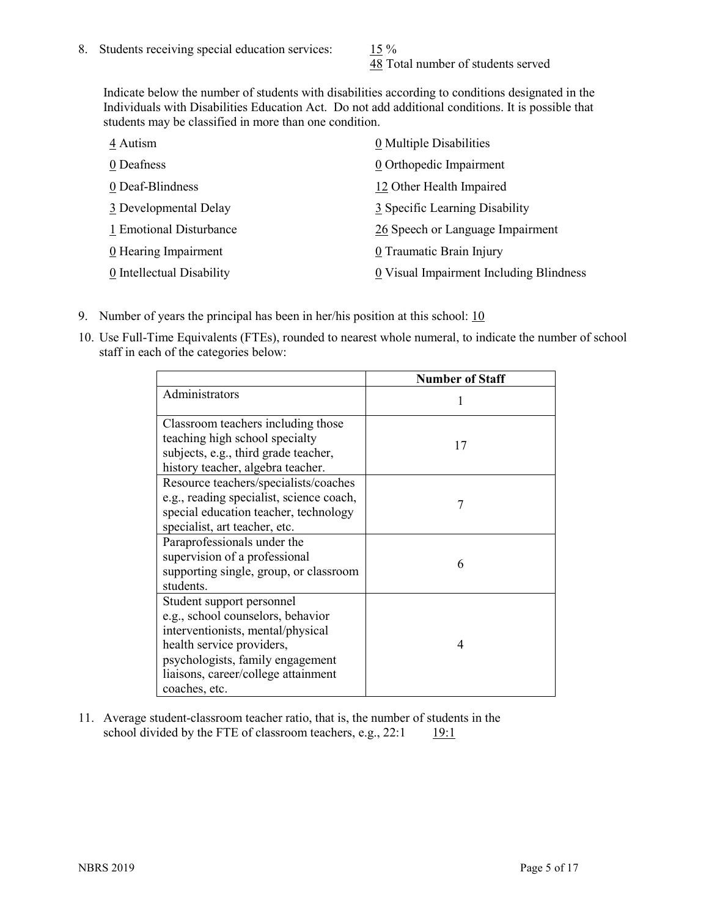48 Total number of students served

Indicate below the number of students with disabilities according to conditions designated in the Individuals with Disabilities Education Act. Do not add additional conditions. It is possible that students may be classified in more than one condition.

| 4 Autism                  | 0 Multiple Disabilities                 |
|---------------------------|-----------------------------------------|
| 0 Deafness                | 0 Orthopedic Impairment                 |
| 0 Deaf-Blindness          | 12 Other Health Impaired                |
| 3 Developmental Delay     | 3 Specific Learning Disability          |
| 1 Emotional Disturbance   | 26 Speech or Language Impairment        |
| 0 Hearing Impairment      | 0 Traumatic Brain Injury                |
| 0 Intellectual Disability | 0 Visual Impairment Including Blindness |

- 9. Number of years the principal has been in her/his position at this school:  $10$
- 10. Use Full-Time Equivalents (FTEs), rounded to nearest whole numeral, to indicate the number of school staff in each of the categories below:

|                                                                                                                                                                                                                              | <b>Number of Staff</b> |
|------------------------------------------------------------------------------------------------------------------------------------------------------------------------------------------------------------------------------|------------------------|
| Administrators                                                                                                                                                                                                               |                        |
| Classroom teachers including those<br>teaching high school specialty<br>subjects, e.g., third grade teacher,<br>history teacher, algebra teacher.                                                                            | 17                     |
| Resource teachers/specialists/coaches<br>e.g., reading specialist, science coach,<br>special education teacher, technology<br>specialist, art teacher, etc.                                                                  | 7                      |
| Paraprofessionals under the<br>supervision of a professional<br>supporting single, group, or classroom<br>students.                                                                                                          | 6                      |
| Student support personnel<br>e.g., school counselors, behavior<br>interventionists, mental/physical<br>health service providers,<br>psychologists, family engagement<br>liaisons, career/college attainment<br>coaches, etc. | 4                      |

11. Average student-classroom teacher ratio, that is, the number of students in the school divided by the FTE of classroom teachers, e.g.,  $22:1$  19:1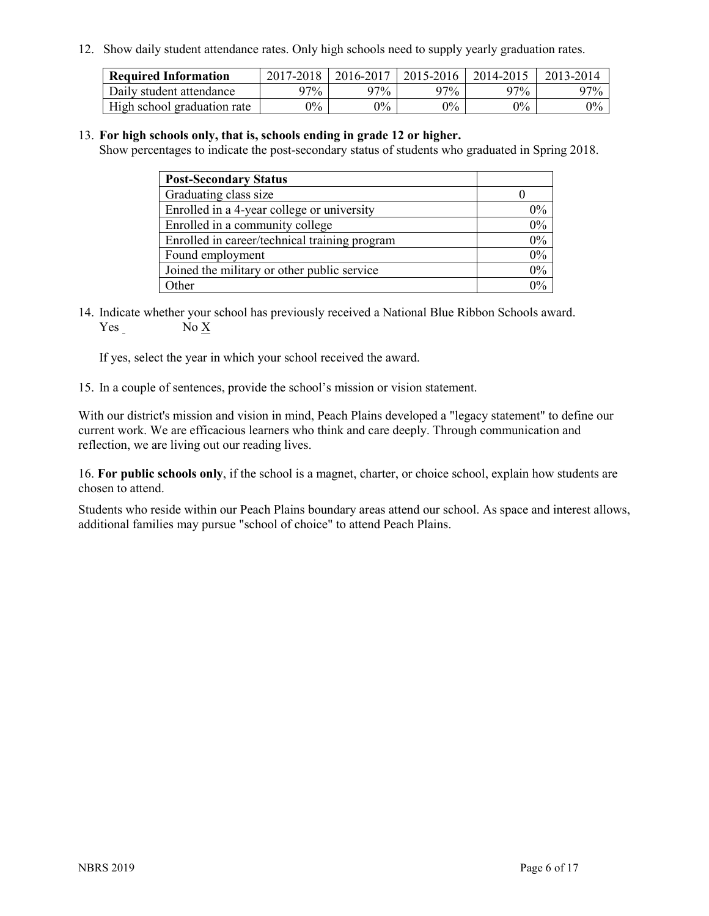12. Show daily student attendance rates. Only high schools need to supply yearly graduation rates.

| <b>Required Information</b> | $2017 - 2018$ | 2016-2017 | 2015-2016 | 2014-2015 | 2013-2014 |
|-----------------------------|---------------|-----------|-----------|-----------|-----------|
| Daily student attendance    | 97%           | 97%       | 97%       | 97%       | $97\%$    |
| High school graduation rate | $0\%$         | $0\%$     | $0\%$     | $9\%$     | $0\%$     |

#### 13. **For high schools only, that is, schools ending in grade 12 or higher.**

Show percentages to indicate the post-secondary status of students who graduated in Spring 2018.

| <b>Post-Secondary Status</b>                  |       |
|-----------------------------------------------|-------|
| Graduating class size                         |       |
| Enrolled in a 4-year college or university    | $0\%$ |
| Enrolled in a community college               | 0%    |
| Enrolled in career/technical training program | 0%    |
| Found employment                              | 0%    |
| Joined the military or other public service   | 0%    |
| Other                                         | $0\%$ |

14. Indicate whether your school has previously received a National Blue Ribbon Schools award. Yes No X

If yes, select the year in which your school received the award.

15. In a couple of sentences, provide the school's mission or vision statement.

With our district's mission and vision in mind, Peach Plains developed a "legacy statement" to define our current work. We are efficacious learners who think and care deeply. Through communication and reflection, we are living out our reading lives.

16. **For public schools only**, if the school is a magnet, charter, or choice school, explain how students are chosen to attend.

Students who reside within our Peach Plains boundary areas attend our school. As space and interest allows, additional families may pursue "school of choice" to attend Peach Plains.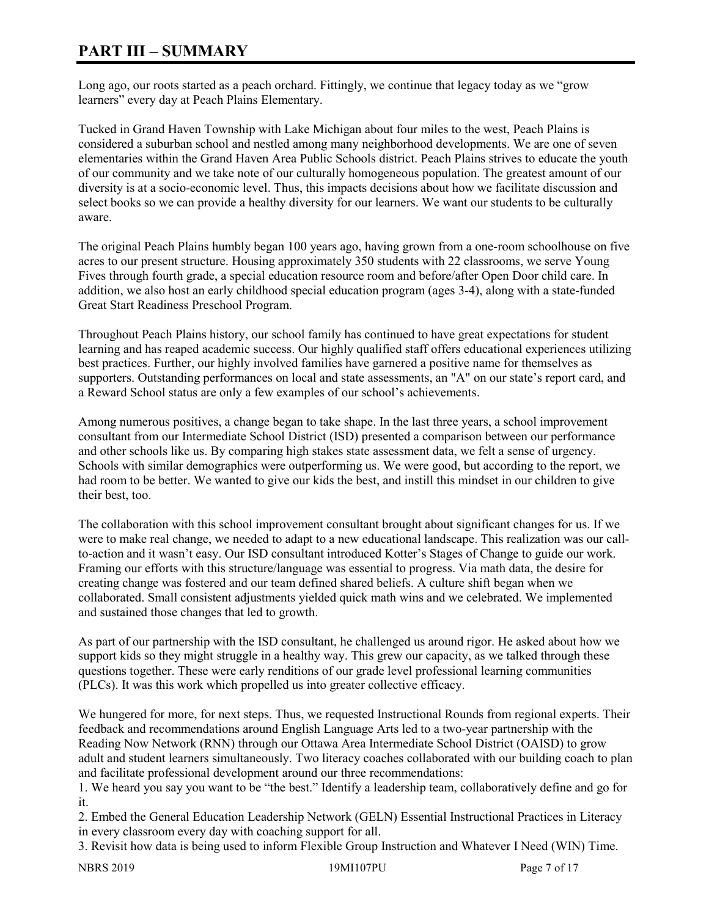# **PART III – SUMMARY**

Long ago, our roots started as a peach orchard. Fittingly, we continue that legacy today as we "grow learners" every day at Peach Plains Elementary.

Tucked in Grand Haven Township with Lake Michigan about four miles to the west, Peach Plains is considered a suburban school and nestled among many neighborhood developments. We are one of seven elementaries within the Grand Haven Area Public Schools district. Peach Plains strives to educate the youth of our community and we take note of our culturally homogeneous population. The greatest amount of our diversity is at a socio-economic level. Thus, this impacts decisions about how we facilitate discussion and select books so we can provide a healthy diversity for our learners. We want our students to be culturally aware.

The original Peach Plains humbly began 100 years ago, having grown from a one-room schoolhouse on five acres to our present structure. Housing approximately 350 students with 22 classrooms, we serve Young Fives through fourth grade, a special education resource room and before/after Open Door child care. In addition, we also host an early childhood special education program (ages 3-4), along with a state-funded Great Start Readiness Preschool Program.

Throughout Peach Plains history, our school family has continued to have great expectations for student learning and has reaped academic success. Our highly qualified staff offers educational experiences utilizing best practices. Further, our highly involved families have garnered a positive name for themselves as supporters. Outstanding performances on local and state assessments, an "A" on our state's report card, and a Reward School status are only a few examples of our school's achievements.

Among numerous positives, a change began to take shape. In the last three years, a school improvement consultant from our Intermediate School District (ISD) presented a comparison between our performance and other schools like us. By comparing high stakes state assessment data, we felt a sense of urgency. Schools with similar demographics were outperforming us. We were good, but according to the report, we had room to be better. We wanted to give our kids the best, and instill this mindset in our children to give their best, too.

The collaboration with this school improvement consultant brought about significant changes for us. If we were to make real change, we needed to adapt to a new educational landscape. This realization was our callto-action and it wasn't easy. Our ISD consultant introduced Kotter's Stages of Change to guide our work. Framing our efforts with this structure/language was essential to progress. Via math data, the desire for creating change was fostered and our team defined shared beliefs. A culture shift began when we collaborated. Small consistent adjustments yielded quick math wins and we celebrated. We implemented and sustained those changes that led to growth.

As part of our partnership with the ISD consultant, he challenged us around rigor. He asked about how we support kids so they might struggle in a healthy way. This grew our capacity, as we talked through these questions together. These were early renditions of our grade level professional learning communities (PLCs). It was this work which propelled us into greater collective efficacy.

We hungered for more, for next steps. Thus, we requested Instructional Rounds from regional experts. Their feedback and recommendations around English Language Arts led to a two-year partnership with the Reading Now Network (RNN) through our Ottawa Area Intermediate School District (OAISD) to grow adult and student learners simultaneously. Two literacy coaches collaborated with our building coach to plan and facilitate professional development around our three recommendations:

1. We heard you say you want to be "the best." Identify a leadership team, collaboratively define and go for it.

2. Embed the General Education Leadership Network (GELN) Essential Instructional Practices in Literacy in every classroom every day with coaching support for all.

3. Revisit how data is being used to inform Flexible Group Instruction and Whatever I Need (WIN) Time.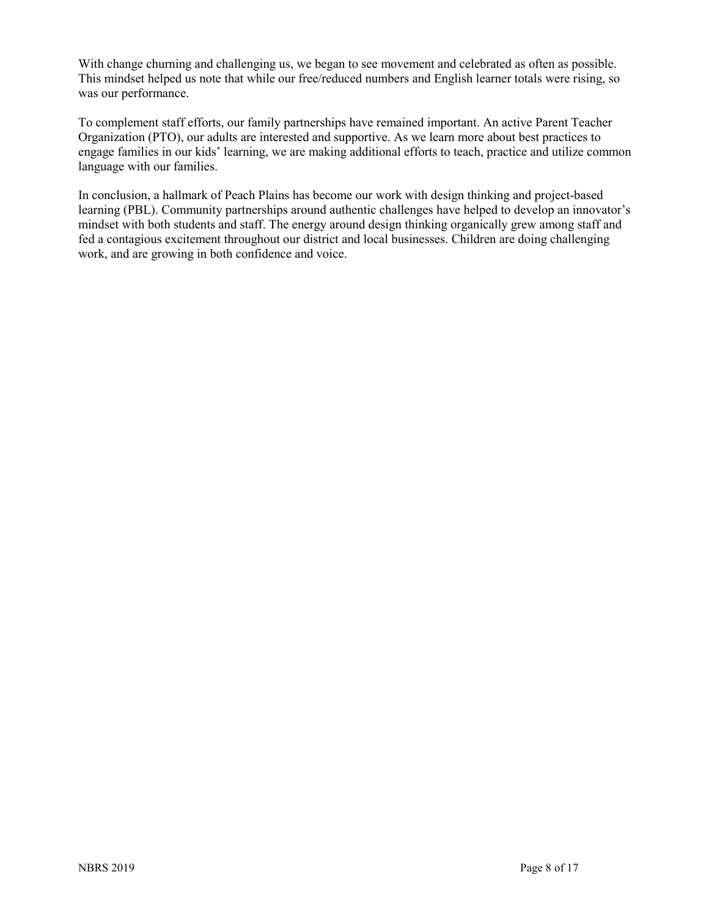With change churning and challenging us, we began to see movement and celebrated as often as possible. This mindset helped us note that while our free/reduced numbers and English learner totals were rising, so was our performance.

To complement staff efforts, our family partnerships have remained important. An active Parent Teacher Organization (PTO), our adults are interested and supportive. As we learn more about best practices to engage families in our kids' learning, we are making additional efforts to teach, practice and utilize common language with our families.

In conclusion, a hallmark of Peach Plains has become our work with design thinking and project-based learning (PBL). Community partnerships around authentic challenges have helped to develop an innovator's mindset with both students and staff. The energy around design thinking organically grew among staff and fed a contagious excitement throughout our district and local businesses. Children are doing challenging work, and are growing in both confidence and voice.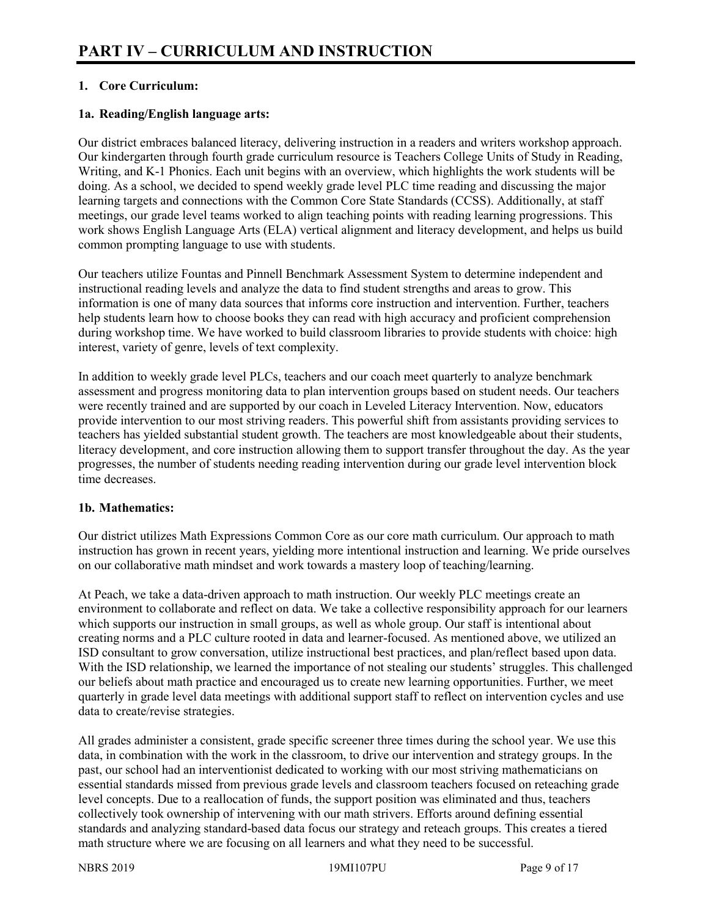# **1. Core Curriculum:**

#### **1a. Reading/English language arts:**

Our district embraces balanced literacy, delivering instruction in a readers and writers workshop approach. Our kindergarten through fourth grade curriculum resource is Teachers College Units of Study in Reading, Writing, and K-1 Phonics. Each unit begins with an overview, which highlights the work students will be doing. As a school, we decided to spend weekly grade level PLC time reading and discussing the major learning targets and connections with the Common Core State Standards (CCSS). Additionally, at staff meetings, our grade level teams worked to align teaching points with reading learning progressions. This work shows English Language Arts (ELA) vertical alignment and literacy development, and helps us build common prompting language to use with students.

Our teachers utilize Fountas and Pinnell Benchmark Assessment System to determine independent and instructional reading levels and analyze the data to find student strengths and areas to grow. This information is one of many data sources that informs core instruction and intervention. Further, teachers help students learn how to choose books they can read with high accuracy and proficient comprehension during workshop time. We have worked to build classroom libraries to provide students with choice: high interest, variety of genre, levels of text complexity.

In addition to weekly grade level PLCs, teachers and our coach meet quarterly to analyze benchmark assessment and progress monitoring data to plan intervention groups based on student needs. Our teachers were recently trained and are supported by our coach in Leveled Literacy Intervention. Now, educators provide intervention to our most striving readers. This powerful shift from assistants providing services to teachers has yielded substantial student growth. The teachers are most knowledgeable about their students, literacy development, and core instruction allowing them to support transfer throughout the day. As the year progresses, the number of students needing reading intervention during our grade level intervention block time decreases.

#### **1b. Mathematics:**

Our district utilizes Math Expressions Common Core as our core math curriculum. Our approach to math instruction has grown in recent years, yielding more intentional instruction and learning. We pride ourselves on our collaborative math mindset and work towards a mastery loop of teaching/learning.

At Peach, we take a data-driven approach to math instruction. Our weekly PLC meetings create an environment to collaborate and reflect on data. We take a collective responsibility approach for our learners which supports our instruction in small groups, as well as whole group. Our staff is intentional about creating norms and a PLC culture rooted in data and learner-focused. As mentioned above, we utilized an ISD consultant to grow conversation, utilize instructional best practices, and plan/reflect based upon data. With the ISD relationship, we learned the importance of not stealing our students' struggles. This challenged our beliefs about math practice and encouraged us to create new learning opportunities. Further, we meet quarterly in grade level data meetings with additional support staff to reflect on intervention cycles and use data to create/revise strategies.

All grades administer a consistent, grade specific screener three times during the school year. We use this data, in combination with the work in the classroom, to drive our intervention and strategy groups. In the past, our school had an interventionist dedicated to working with our most striving mathematicians on essential standards missed from previous grade levels and classroom teachers focused on reteaching grade level concepts. Due to a reallocation of funds, the support position was eliminated and thus, teachers collectively took ownership of intervening with our math strivers. Efforts around defining essential standards and analyzing standard-based data focus our strategy and reteach groups. This creates a tiered math structure where we are focusing on all learners and what they need to be successful.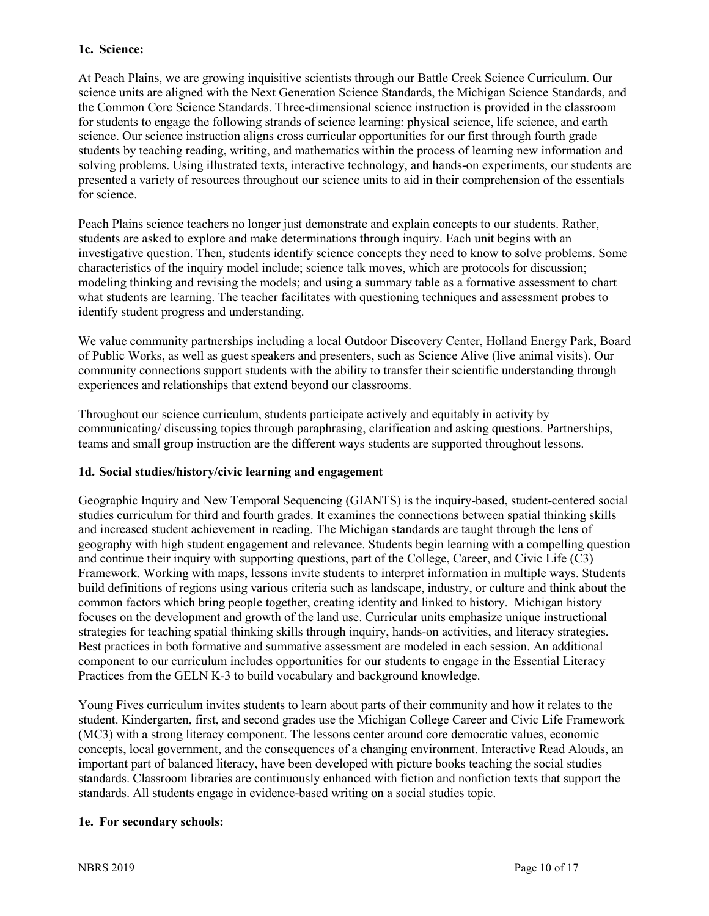#### **1c. Science:**

At Peach Plains, we are growing inquisitive scientists through our Battle Creek Science Curriculum. Our science units are aligned with the Next Generation Science Standards, the Michigan Science Standards, and the Common Core Science Standards. Three-dimensional science instruction is provided in the classroom for students to engage the following strands of science learning: physical science, life science, and earth science. Our science instruction aligns cross curricular opportunities for our first through fourth grade students by teaching reading, writing, and mathematics within the process of learning new information and solving problems. Using illustrated texts, interactive technology, and hands-on experiments, our students are presented a variety of resources throughout our science units to aid in their comprehension of the essentials for science.

Peach Plains science teachers no longer just demonstrate and explain concepts to our students. Rather, students are asked to explore and make determinations through inquiry. Each unit begins with an investigative question. Then, students identify science concepts they need to know to solve problems. Some characteristics of the inquiry model include; science talk moves, which are protocols for discussion; modeling thinking and revising the models; and using a summary table as a formative assessment to chart what students are learning. The teacher facilitates with questioning techniques and assessment probes to identify student progress and understanding.

We value community partnerships including a local Outdoor Discovery Center, Holland Energy Park, Board of Public Works, as well as guest speakers and presenters, such as Science Alive (live animal visits). Our community connections support students with the ability to transfer their scientific understanding through experiences and relationships that extend beyond our classrooms.

Throughout our science curriculum, students participate actively and equitably in activity by communicating/ discussing topics through paraphrasing, clarification and asking questions. Partnerships, teams and small group instruction are the different ways students are supported throughout lessons.

#### **1d. Social studies/history/civic learning and engagement**

Geographic Inquiry and New Temporal Sequencing (GIANTS) is the inquiry-based, student-centered social studies curriculum for third and fourth grades. It examines the connections between spatial thinking skills and increased student achievement in reading. The Michigan standards are taught through the lens of geography with high student engagement and relevance. Students begin learning with a compelling question and continue their inquiry with supporting questions, part of the College, Career, and Civic Life (C3) Framework. Working with maps, lessons invite students to interpret information in multiple ways. Students build definitions of regions using various criteria such as landscape, industry, or culture and think about the common factors which bring people together, creating identity and linked to history. Michigan history focuses on the development and growth of the land use. Curricular units emphasize unique instructional strategies for teaching spatial thinking skills through inquiry, hands-on activities, and literacy strategies. Best practices in both formative and summative assessment are modeled in each session. An additional component to our curriculum includes opportunities for our students to engage in the Essential Literacy Practices from the GELN K-3 to build vocabulary and background knowledge.

Young Fives curriculum invites students to learn about parts of their community and how it relates to the student. Kindergarten, first, and second grades use the Michigan College Career and Civic Life Framework (MC3) with a strong literacy component. The lessons center around core democratic values, economic concepts, local government, and the consequences of a changing environment. Interactive Read Alouds, an important part of balanced literacy, have been developed with picture books teaching the social studies standards. Classroom libraries are continuously enhanced with fiction and nonfiction texts that support the standards. All students engage in evidence-based writing on a social studies topic.

#### **1e. For secondary schools:**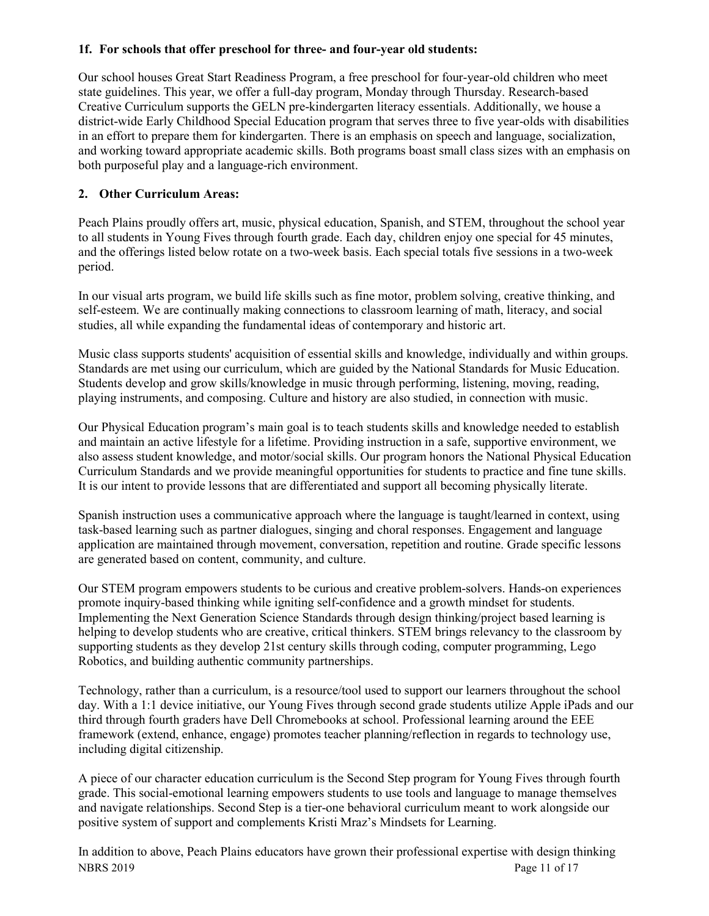## **1f. For schools that offer preschool for three- and four-year old students:**

Our school houses Great Start Readiness Program, a free preschool for four-year-old children who meet state guidelines. This year, we offer a full-day program, Monday through Thursday. Research-based Creative Curriculum supports the GELN pre-kindergarten literacy essentials. Additionally, we house a district-wide Early Childhood Special Education program that serves three to five year-olds with disabilities in an effort to prepare them for kindergarten. There is an emphasis on speech and language, socialization, and working toward appropriate academic skills. Both programs boast small class sizes with an emphasis on both purposeful play and a language-rich environment.

# **2. Other Curriculum Areas:**

Peach Plains proudly offers art, music, physical education, Spanish, and STEM, throughout the school year to all students in Young Fives through fourth grade. Each day, children enjoy one special for 45 minutes, and the offerings listed below rotate on a two-week basis. Each special totals five sessions in a two-week period.

In our visual arts program, we build life skills such as fine motor, problem solving, creative thinking, and self-esteem. We are continually making connections to classroom learning of math, literacy, and social studies, all while expanding the fundamental ideas of contemporary and historic art.

Music class supports students' acquisition of essential skills and knowledge, individually and within groups. Standards are met using our curriculum, which are guided by the National Standards for Music Education. Students develop and grow skills/knowledge in music through performing, listening, moving, reading, playing instruments, and composing. Culture and history are also studied, in connection with music.

Our Physical Education program's main goal is to teach students skills and knowledge needed to establish and maintain an active lifestyle for a lifetime. Providing instruction in a safe, supportive environment, we also assess student knowledge, and motor/social skills. Our program honors the National Physical Education Curriculum Standards and we provide meaningful opportunities for students to practice and fine tune skills. It is our intent to provide lessons that are differentiated and support all becoming physically literate.

Spanish instruction uses a communicative approach where the language is taught/learned in context, using task-based learning such as partner dialogues, singing and choral responses. Engagement and language application are maintained through movement, conversation, repetition and routine. Grade specific lessons are generated based on content, community, and culture.

Our STEM program empowers students to be curious and creative problem-solvers. Hands-on experiences promote inquiry-based thinking while igniting self-confidence and a growth mindset for students. Implementing the Next Generation Science Standards through design thinking/project based learning is helping to develop students who are creative, critical thinkers. STEM brings relevancy to the classroom by supporting students as they develop 21st century skills through coding, computer programming, Lego Robotics, and building authentic community partnerships.

Technology, rather than a curriculum, is a resource/tool used to support our learners throughout the school day. With a 1:1 device initiative, our Young Fives through second grade students utilize Apple iPads and our third through fourth graders have Dell Chromebooks at school. Professional learning around the EEE framework (extend, enhance, engage) promotes teacher planning/reflection in regards to technology use, including digital citizenship.

A piece of our character education curriculum is the Second Step program for Young Fives through fourth grade. This social-emotional learning empowers students to use tools and language to manage themselves and navigate relationships. Second Step is a tier-one behavioral curriculum meant to work alongside our positive system of support and complements Kristi Mraz's Mindsets for Learning.

NBRS 2019 Page 11 of 17 In addition to above, Peach Plains educators have grown their professional expertise with design thinking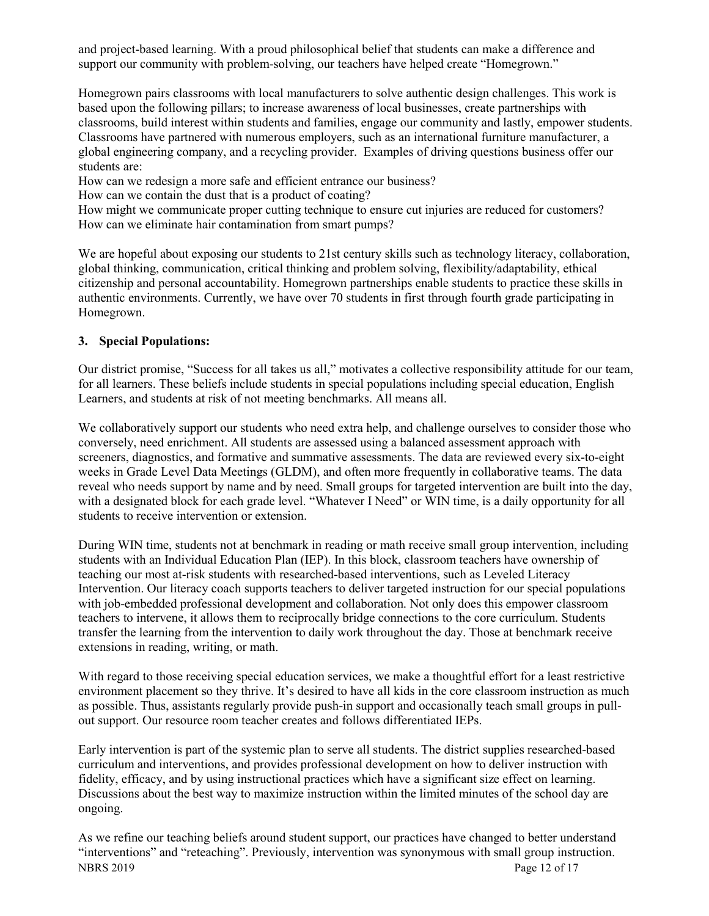and project-based learning. With a proud philosophical belief that students can make a difference and support our community with problem-solving, our teachers have helped create "Homegrown."

Homegrown pairs classrooms with local manufacturers to solve authentic design challenges. This work is based upon the following pillars; to increase awareness of local businesses, create partnerships with classrooms, build interest within students and families, engage our community and lastly, empower students. Classrooms have partnered with numerous employers, such as an international furniture manufacturer, a global engineering company, and a recycling provider. Examples of driving questions business offer our students are:

How can we redesign a more safe and efficient entrance our business?

How can we contain the dust that is a product of coating?

How might we communicate proper cutting technique to ensure cut injuries are reduced for customers? How can we eliminate hair contamination from smart pumps?

We are hopeful about exposing our students to 21st century skills such as technology literacy, collaboration, global thinking, communication, critical thinking and problem solving, flexibility/adaptability, ethical citizenship and personal accountability. Homegrown partnerships enable students to practice these skills in authentic environments. Currently, we have over 70 students in first through fourth grade participating in Homegrown.

# **3. Special Populations:**

Our district promise, "Success for all takes us all," motivates a collective responsibility attitude for our team, for all learners. These beliefs include students in special populations including special education, English Learners, and students at risk of not meeting benchmarks. All means all.

We collaboratively support our students who need extra help, and challenge ourselves to consider those who conversely, need enrichment. All students are assessed using a balanced assessment approach with screeners, diagnostics, and formative and summative assessments. The data are reviewed every six-to-eight weeks in Grade Level Data Meetings (GLDM), and often more frequently in collaborative teams. The data reveal who needs support by name and by need. Small groups for targeted intervention are built into the day, with a designated block for each grade level. "Whatever I Need" or WIN time, is a daily opportunity for all students to receive intervention or extension.

During WIN time, students not at benchmark in reading or math receive small group intervention, including students with an Individual Education Plan (IEP). In this block, classroom teachers have ownership of teaching our most at-risk students with researched-based interventions, such as Leveled Literacy Intervention. Our literacy coach supports teachers to deliver targeted instruction for our special populations with job-embedded professional development and collaboration. Not only does this empower classroom teachers to intervene, it allows them to reciprocally bridge connections to the core curriculum. Students transfer the learning from the intervention to daily work throughout the day. Those at benchmark receive extensions in reading, writing, or math.

With regard to those receiving special education services, we make a thoughtful effort for a least restrictive environment placement so they thrive. It's desired to have all kids in the core classroom instruction as much as possible. Thus, assistants regularly provide push-in support and occasionally teach small groups in pullout support. Our resource room teacher creates and follows differentiated IEPs.

Early intervention is part of the systemic plan to serve all students. The district supplies researched-based curriculum and interventions, and provides professional development on how to deliver instruction with fidelity, efficacy, and by using instructional practices which have a significant size effect on learning. Discussions about the best way to maximize instruction within the limited minutes of the school day are ongoing.

NBRS 2019 Page 12 of 17 As we refine our teaching beliefs around student support, our practices have changed to better understand "interventions" and "reteaching". Previously, intervention was synonymous with small group instruction.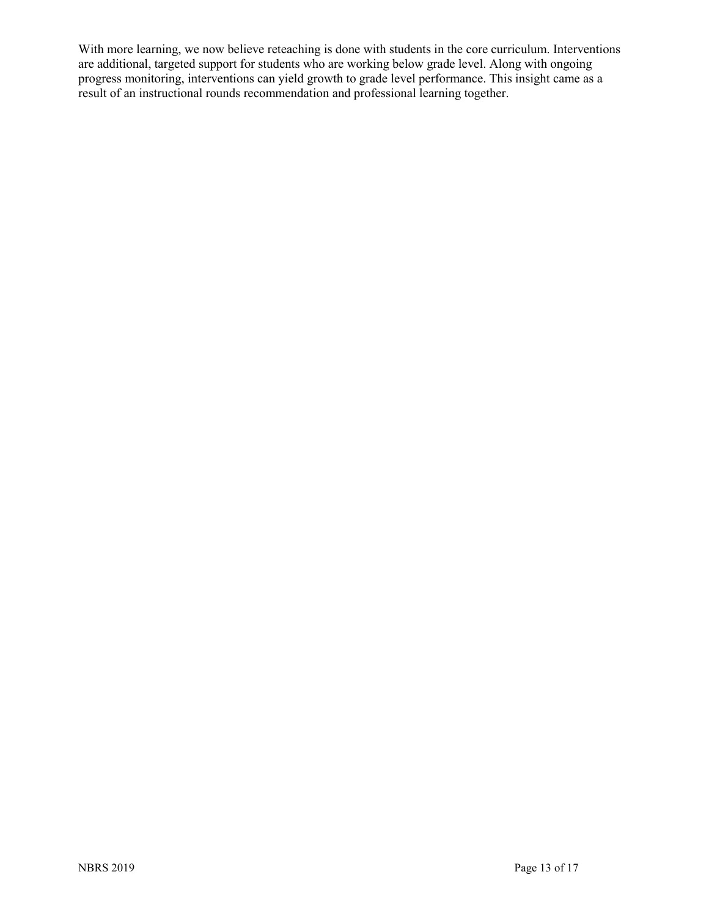With more learning, we now believe reteaching is done with students in the core curriculum. Interventions are additional, targeted support for students who are working below grade level. Along with ongoing progress monitoring, interventions can yield growth to grade level performance. This insight came as a result of an instructional rounds recommendation and professional learning together.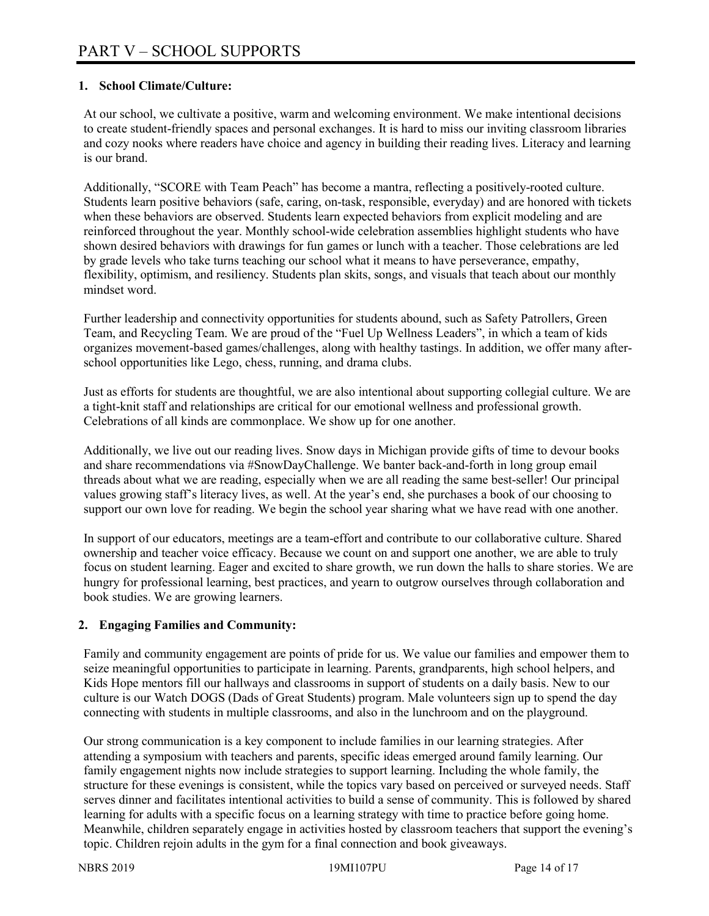## **1. School Climate/Culture:**

At our school, we cultivate a positive, warm and welcoming environment. We make intentional decisions to create student-friendly spaces and personal exchanges. It is hard to miss our inviting classroom libraries and cozy nooks where readers have choice and agency in building their reading lives. Literacy and learning is our brand.

Additionally, "SCORE with Team Peach" has become a mantra, reflecting a positively-rooted culture. Students learn positive behaviors (safe, caring, on-task, responsible, everyday) and are honored with tickets when these behaviors are observed. Students learn expected behaviors from explicit modeling and are reinforced throughout the year. Monthly school-wide celebration assemblies highlight students who have shown desired behaviors with drawings for fun games or lunch with a teacher. Those celebrations are led by grade levels who take turns teaching our school what it means to have perseverance, empathy, flexibility, optimism, and resiliency. Students plan skits, songs, and visuals that teach about our monthly mindset word.

Further leadership and connectivity opportunities for students abound, such as Safety Patrollers, Green Team, and Recycling Team. We are proud of the "Fuel Up Wellness Leaders", in which a team of kids organizes movement-based games/challenges, along with healthy tastings. In addition, we offer many afterschool opportunities like Lego, chess, running, and drama clubs.

Just as efforts for students are thoughtful, we are also intentional about supporting collegial culture. We are a tight-knit staff and relationships are critical for our emotional wellness and professional growth. Celebrations of all kinds are commonplace. We show up for one another.

Additionally, we live out our reading lives. Snow days in Michigan provide gifts of time to devour books and share recommendations via #SnowDayChallenge. We banter back-and-forth in long group email threads about what we are reading, especially when we are all reading the same best-seller! Our principal values growing staff's literacy lives, as well. At the year's end, she purchases a book of our choosing to support our own love for reading. We begin the school year sharing what we have read with one another.

In support of our educators, meetings are a team-effort and contribute to our collaborative culture. Shared ownership and teacher voice efficacy. Because we count on and support one another, we are able to truly focus on student learning. Eager and excited to share growth, we run down the halls to share stories. We are hungry for professional learning, best practices, and yearn to outgrow ourselves through collaboration and book studies. We are growing learners.

# **2. Engaging Families and Community:**

Family and community engagement are points of pride for us. We value our families and empower them to seize meaningful opportunities to participate in learning. Parents, grandparents, high school helpers, and Kids Hope mentors fill our hallways and classrooms in support of students on a daily basis. New to our culture is our Watch DOGS (Dads of Great Students) program. Male volunteers sign up to spend the day connecting with students in multiple classrooms, and also in the lunchroom and on the playground.

Our strong communication is a key component to include families in our learning strategies. After attending a symposium with teachers and parents, specific ideas emerged around family learning. Our family engagement nights now include strategies to support learning. Including the whole family, the structure for these evenings is consistent, while the topics vary based on perceived or surveyed needs. Staff serves dinner and facilitates intentional activities to build a sense of community. This is followed by shared learning for adults with a specific focus on a learning strategy with time to practice before going home. Meanwhile, children separately engage in activities hosted by classroom teachers that support the evening's topic. Children rejoin adults in the gym for a final connection and book giveaways.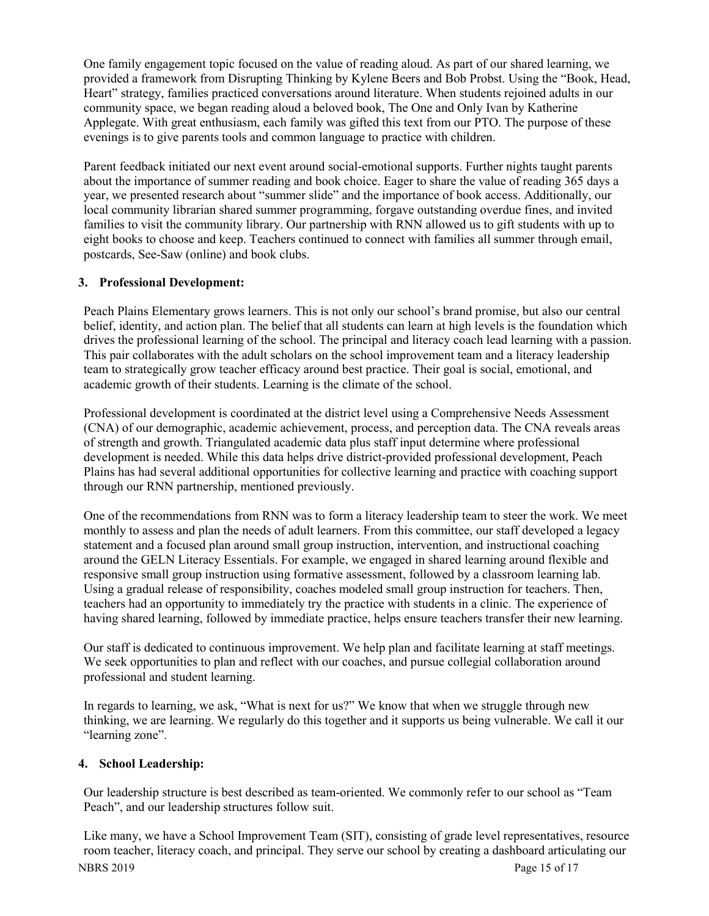One family engagement topic focused on the value of reading aloud. As part of our shared learning, we provided a framework from Disrupting Thinking by Kylene Beers and Bob Probst. Using the "Book, Head, Heart" strategy, families practiced conversations around literature. When students rejoined adults in our community space, we began reading aloud a beloved book, The One and Only Ivan by Katherine Applegate. With great enthusiasm, each family was gifted this text from our PTO. The purpose of these evenings is to give parents tools and common language to practice with children.

Parent feedback initiated our next event around social-emotional supports. Further nights taught parents about the importance of summer reading and book choice. Eager to share the value of reading 365 days a year, we presented research about "summer slide" and the importance of book access. Additionally, our local community librarian shared summer programming, forgave outstanding overdue fines, and invited families to visit the community library. Our partnership with RNN allowed us to gift students with up to eight books to choose and keep. Teachers continued to connect with families all summer through email, postcards, See-Saw (online) and book clubs.

# **3. Professional Development:**

Peach Plains Elementary grows learners. This is not only our school's brand promise, but also our central belief, identity, and action plan. The belief that all students can learn at high levels is the foundation which drives the professional learning of the school. The principal and literacy coach lead learning with a passion. This pair collaborates with the adult scholars on the school improvement team and a literacy leadership team to strategically grow teacher efficacy around best practice. Their goal is social, emotional, and academic growth of their students. Learning is the climate of the school.

Professional development is coordinated at the district level using a Comprehensive Needs Assessment (CNA) of our demographic, academic achievement, process, and perception data. The CNA reveals areas of strength and growth. Triangulated academic data plus staff input determine where professional development is needed. While this data helps drive district-provided professional development, Peach Plains has had several additional opportunities for collective learning and practice with coaching support through our RNN partnership, mentioned previously.

One of the recommendations from RNN was to form a literacy leadership team to steer the work. We meet monthly to assess and plan the needs of adult learners. From this committee, our staff developed a legacy statement and a focused plan around small group instruction, intervention, and instructional coaching around the GELN Literacy Essentials. For example, we engaged in shared learning around flexible and responsive small group instruction using formative assessment, followed by a classroom learning lab. Using a gradual release of responsibility, coaches modeled small group instruction for teachers. Then, teachers had an opportunity to immediately try the practice with students in a clinic. The experience of having shared learning, followed by immediate practice, helps ensure teachers transfer their new learning.

Our staff is dedicated to continuous improvement. We help plan and facilitate learning at staff meetings. We seek opportunities to plan and reflect with our coaches, and pursue collegial collaboration around professional and student learning.

In regards to learning, we ask, "What is next for us?" We know that when we struggle through new thinking, we are learning. We regularly do this together and it supports us being vulnerable. We call it our "learning zone".

# **4. School Leadership:**

Our leadership structure is best described as team-oriented. We commonly refer to our school as "Team Peach", and our leadership structures follow suit.

NBRS 2019 Page 15 of 17 Like many, we have a School Improvement Team (SIT), consisting of grade level representatives, resource room teacher, literacy coach, and principal. They serve our school by creating a dashboard articulating our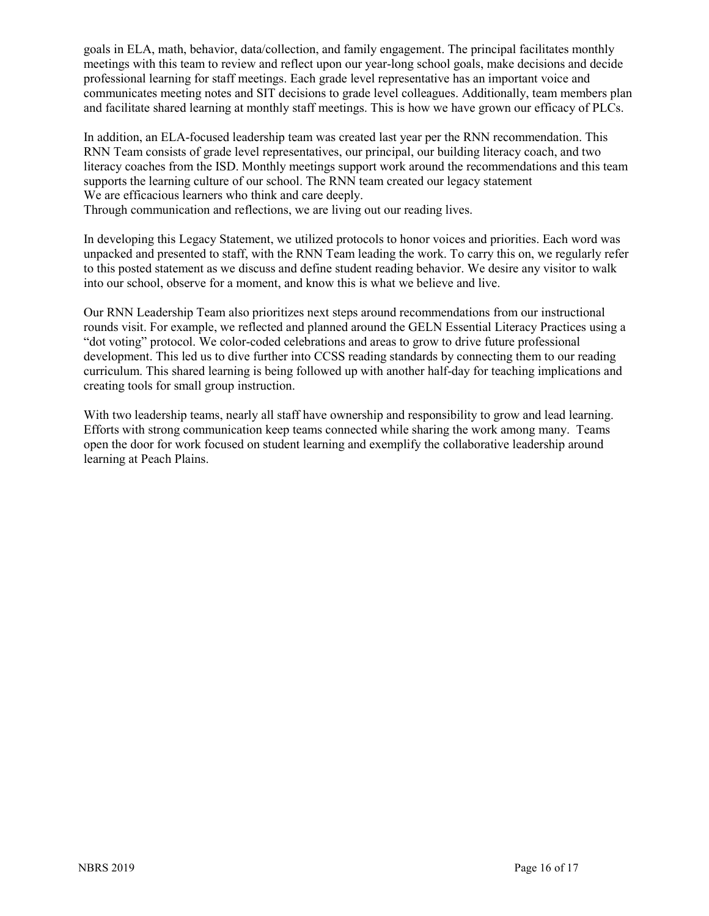goals in ELA, math, behavior, data/collection, and family engagement. The principal facilitates monthly meetings with this team to review and reflect upon our year-long school goals, make decisions and decide professional learning for staff meetings. Each grade level representative has an important voice and communicates meeting notes and SIT decisions to grade level colleagues. Additionally, team members plan and facilitate shared learning at monthly staff meetings. This is how we have grown our efficacy of PLCs.

In addition, an ELA-focused leadership team was created last year per the RNN recommendation. This RNN Team consists of grade level representatives, our principal, our building literacy coach, and two literacy coaches from the ISD. Monthly meetings support work around the recommendations and this team supports the learning culture of our school. The RNN team created our legacy statement We are efficacious learners who think and care deeply.

Through communication and reflections, we are living out our reading lives.

In developing this Legacy Statement, we utilized protocols to honor voices and priorities. Each word was unpacked and presented to staff, with the RNN Team leading the work. To carry this on, we regularly refer to this posted statement as we discuss and define student reading behavior. We desire any visitor to walk into our school, observe for a moment, and know this is what we believe and live.

Our RNN Leadership Team also prioritizes next steps around recommendations from our instructional rounds visit. For example, we reflected and planned around the GELN Essential Literacy Practices using a "dot voting" protocol. We color-coded celebrations and areas to grow to drive future professional development. This led us to dive further into CCSS reading standards by connecting them to our reading curriculum. This shared learning is being followed up with another half-day for teaching implications and creating tools for small group instruction.

With two leadership teams, nearly all staff have ownership and responsibility to grow and lead learning. Efforts with strong communication keep teams connected while sharing the work among many. Teams open the door for work focused on student learning and exemplify the collaborative leadership around learning at Peach Plains.